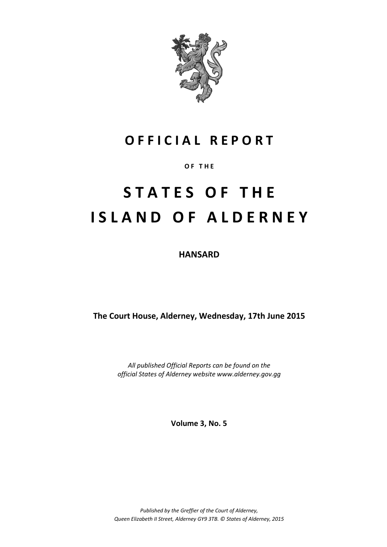

# **O F F I C I A L R E P O R T**

### **O F T H E**

# **S T A T E S O F T H E I S L A N D O F A L D E R N E Y**

**HANSARD**

**The Court House, Alderney, Wednesday, 17th June 2015**

*All published Official Reports can be found on the official States of Alderney website www.alderney.gov.gg*

**Volume 3, No. 5**

*Published by the Greffier of the Court of Alderney, Queen Elizabeth II Street, Alderney GY9 3TB. © States of Alderney, 2015*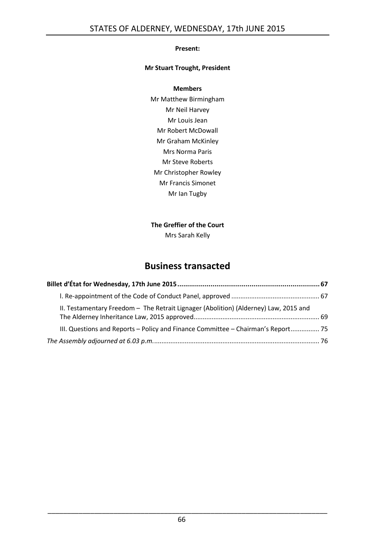#### **Present:**

#### **Mr Stuart Trought, President**

#### **Members**

Mr Matthew Birmingham Mr Neil Harvey Mr Louis Jean Mr Robert McDowall Mr Graham McKinley Mrs Norma Paris Mr Steve Roberts Mr Christopher Rowley Mr Francis Simonet Mr Ian Tugby

#### **The Greffier of the Court**

Mrs Sarah Kelly

# **Business transacted**

| II. Testamentary Freedom - The Retrait Lignager (Abolition) (Alderney) Law, 2015 and |  |
|--------------------------------------------------------------------------------------|--|
| III. Questions and Reports - Policy and Finance Committee - Chairman's Report 75     |  |
|                                                                                      |  |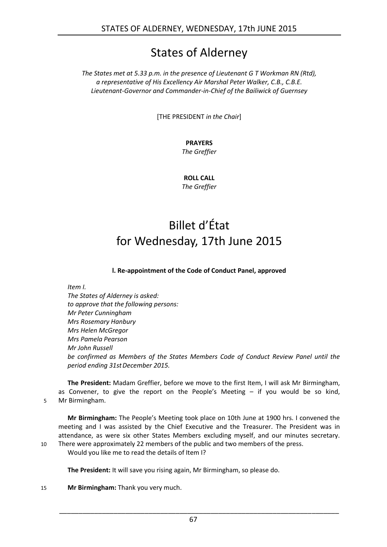# States of Alderney

*The States met at 5.33 p.m. in the presence of Lieutenant G T Workman RN (Rtd), a representative of His Excellency Air Marshal Peter Walker, C.B., C.B.E. Lieutenant-Governor and Commander-in-Chief of the Bailiwick of Guernsey*

[THE PRESIDENT *in the Chair*]

### **PRAYERS**

*The Greffier*

**ROLL CALL** *The Greffier*

# <span id="page-2-0"></span>Billet d'État for Wednesday, 17th June 2015

**l. Re-appointment of the Code of Conduct Panel, approved**

<span id="page-2-1"></span>*Item I.*

*The States of Alderney is asked: to approve that the following persons: Mr Peter Cunningham Mrs Rosemary Hanbury Mrs Helen McGregor Mrs Pamela Pearson Mr John Russell be confirmed as Members of the States Members Code of Conduct Review Panel until the period ending 31stDecember 2015.*

**The President:** Madam Greffier, before we move to the first Item, I will ask Mr Birmingham, as Convener, to give the report on the People's Meeting – if you would be so kind, 5 Mr Birmingham.

**Mr Birmingham:** The People's Meeting took place on 10th June at 1900 hrs. I convened the meeting and I was assisted by the Chief Executive and the Treasurer. The President was in attendance, as were six other States Members excluding myself, and our minutes secretary. 10 There were approximately 22 members of the public and two members of the press.

Would you like me to read the details of Item I?

**The President:** It will save you rising again, Mr Birmingham, so please do.

15 **Mr Birmingham:** Thank you very much.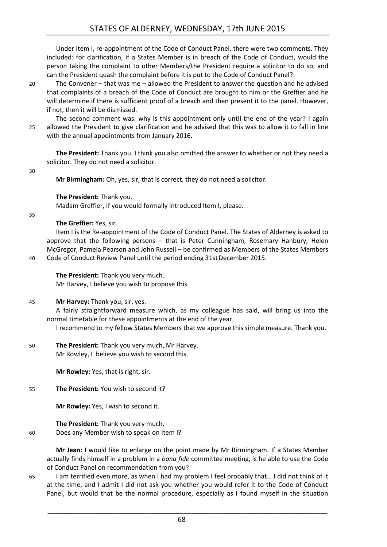Under Item I, re-appointment of the Code of Conduct Panel, there were two comments. They included: for clarification, if a States Member is in breach of the Code of Conduct, would the person taking the complaint to other Members/the President require a solicitor to do so; and can the President quash the complaint before it is put to the Code of Conduct Panel?

20 The Convener – that was me – allowed the President to answer the question and he advised that complaints of a breach of the Code of Conduct are brought to him or the Greffier and he will determine if there is sufficient proof of a breach and then present it to the panel. However, if not, then it will be dismissed.

The second comment was: why is this appointment only until the end of the year? I again 25 allowed the President to give clarification and he advised that this was to allow it to fall in line with the annual appointments from January 2016.

**The President:** Thank you. I think you also omitted the answer to whether or not they need a solicitor. They do not need a solicitor.

30

**Mr Birmingham:** Oh, yes, sir, that is correct, they do not need a solicitor.

**The President:** Thank you.

Madam Greffier, if you would formally introduced Item I, please.

35

#### **The Greffier:** Yes, sir.

Item I is the Re-appointment of the Code of Conduct Panel. The States of Alderney is asked to approve that the following persons – that is Peter Cunningham, Rosemary Hanbury, Helen McGregor, Pamela Pearson and John Russell – be confirmed as Members of the States Members 40 Code of Conduct Review Panel until the period ending 31stDecember 2015.

**The President:** Thank you very much. Mr Harvey, I believe you wish to propose this.

45 **Mr Harvey:** Thank you, sir, yes.

A fairly straightforward measure which, as my colleague has said, will bring us into the normal timetable for these appointments at the end of the year.

I recommend to my fellow States Members that we approve this simple measure. Thank you.

#### 50 **The President:** Thank you very much, Mr Harvey. Mr Rowley, I believe you wish to second this.

**Mr Rowley:** Yes, that is right, sir.

#### 55 **The President:** You wish to second it?

**Mr Rowley:** Yes, I wish to second it.

#### **The President:** Thank you very much. 60 Does any Member wish to speak on Item I?

**Mr Jean:** I would like to enlarge on the point made by Mr Birmingham. If a States Member actually finds himself in a problem in a *bona fide* committee meeting, is he able to use the Code of Conduct Panel on recommendation from you?

65 I am terrified even more, as when I had my problem I feel probably that… I did not think of it at the time, and I admit I did not ask you whether you would refer it to the Code of Conduct Panel, but would that be the normal procedure, especially as I found myself in the situation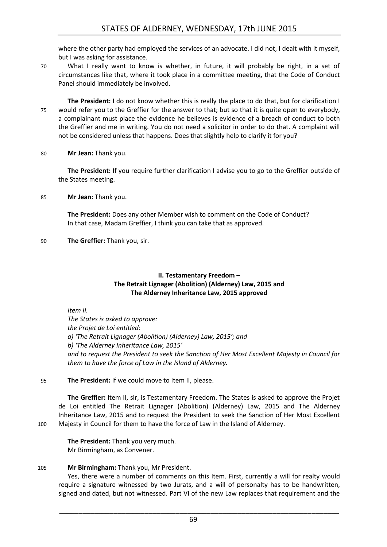where the other party had employed the services of an advocate. I did not, I dealt with it myself, but I was asking for assistance.

70 What I really want to know is whether, in future, it will probably be right, in a set of circumstances like that, where it took place in a committee meeting, that the Code of Conduct Panel should immediately be involved.

**The President:** I do not know whether this is really the place to do that, but for clarification I 75 would refer you to the Greffier for the answer to that; but so that it is quite open to everybody, a complainant must place the evidence he believes is evidence of a breach of conduct to both the Greffier and me in writing. You do not need a solicitor in order to do that. A complaint will not be considered unless that happens. Does that slightly help to clarify it for you?

#### 80 **Mr Jean:** Thank you.

**The President:** If you require further clarification I advise you to go to the Greffier outside of the States meeting.

85 **Mr Jean:** Thank you.

**The President:** Does any other Member wish to comment on the Code of Conduct? In that case, Madam Greffier, I think you can take that as approved.

90 **The Greffier:** Thank you, sir.

#### **II. Testamentary Freedom – The Retrait Lignager (Abolition) (Alderney) Law, 2015 and The Alderney Inheritance Law, 2015 approved**

<span id="page-4-0"></span>*Item II.*

*The States is asked to approve: the Projet de Loi entitled: a) 'The Retrait Lignager (Abolition) (Alderney) Law, 2015'; and b) 'The Alderney Inheritance Law, 2015' and to request the President to seek the Sanction of Her Most Excellent Majesty in Council for them to have the force of Law in the Island of Alderney.*

#### 95 **The President:** If we could move to Item II, please.

**The Greffier:** Item II, sir, is Testamentary Freedom. The States is asked to approve the Projet de Loi entitled The Retrait Lignager (Abolition) (Alderney) Law, 2015 and The Alderney Inheritance Law, 2015 and to request the President to seek the Sanction of Her Most Excellent 100 Majesty in Council for them to have the force of Law in the Island of Alderney.

**The President:** Thank you very much. Mr Birmingham, as Convener.

#### 105 **Mr Birmingham:** Thank you, Mr President.

Yes, there were a number of comments on this Item. First, currently a will for realty would require a signature witnessed by two Jurats, and a will of personalty has to be handwritten, signed and dated, but not witnessed. Part VI of the new Law replaces that requirement and the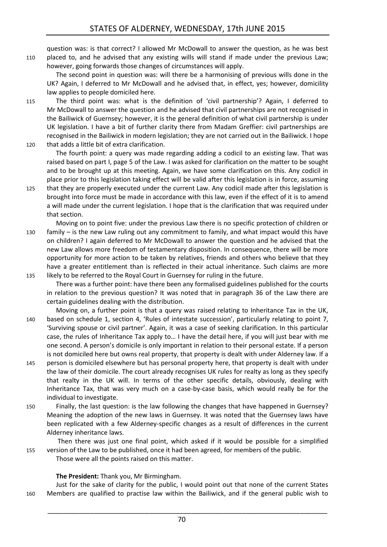question was: is that correct? I allowed Mr McDowall to answer the question, as he was best 110 placed to, and he advised that any existing wills will stand if made under the previous Law; however, going forwards those changes of circumstances will apply.

The second point in question was: will there be a harmonising of previous wills done in the UK? Again, I deferred to Mr McDowall and he advised that, in effect, yes; however, domicility law applies to people domiciled here.

- 115 The third point was: what is the definition of 'civil partnership'? Again, I deferred to Mr McDowall to answer the question and he advised that civil partnerships are not recognised in the Bailiwick of Guernsey; however, it is the general definition of what civil partnership is under UK legislation. I have a bit of further clarity there from Madam Greffier: civil partnerships are recognised in the Bailiwick in modern legislation; they are not carried out in the Bailiwick. I hope 120 that adds a little bit of extra clarification.
	- The fourth point: a query was made regarding adding a codicil to an existing law. That was raised based on part I, page 5 of the Law. I was asked for clarification on the matter to be sought and to be brought up at this meeting. Again, we have some clarification on this. Any codicil in place prior to this legislation taking effect will be valid after this legislation is in force, assuming

125 that they are properly executed under the current Law. Any codicil made after this legislation is brought into force must be made in accordance with this law, even if the effect of it is to amend a will made under the current legislation. I hope that is the clarification that was required under that section.

Moving on to point five: under the previous Law there is no specific protection of children or 130 family – is the new Law ruling out any commitment to family, and what impact would this have on children? I again deferred to Mr McDowall to answer the question and he advised that the new Law allows more freedom of testamentary disposition. In consequence, there will be more opportunity for more action to be taken by relatives, friends and others who believe that they have a greater entitlement than is reflected in their actual inheritance. Such claims are more 135 likely to be referred to the Royal Court in Guernsey for ruling in the future.

- There was a further point: have there been any formalised guidelines published for the courts in relation to the previous question? It was noted that in paragraph 36 of the Law there are certain guidelines dealing with the distribution.
- Moving on, a further point is that a query was raised relating to Inheritance Tax in the UK, 140 based on schedule 1, section 4, 'Rules of intestate succession', particularly relating to point 7, 'Surviving spouse or civil partner'. Again, it was a case of seeking clarification. In this particular case, the rules of Inheritance Tax apply to… I have the detail here, if you will just bear with me one second. A person's domicile is only important in relation to their personal estate. If a person is not domiciled here but owns real property, that property is dealt with under Alderney law. If a
- 145 person is domiciled elsewhere but has personal property here, that property is dealt with under the law of their domicile. The court already recognises UK rules for realty as long as they specify that realty in the UK will. In terms of the other specific details, obviously, dealing with Inheritance Tax, that was very much on a case-by-case basis, which would really be for the individual to investigate.
- 150 Finally, the last question: is the law following the changes that have happened in Guernsey? Meaning the adoption of the new laws in Guernsey. It was noted that the Guernsey laws have been replicated with a few Alderney-specific changes as a result of differences in the current Alderney inheritance laws.

Then there was just one final point, which asked if it would be possible for a simplified 155 version of the Law to be published, once it had been agreed, for members of the public.

Those were all the points raised on this matter.

#### **The President:** Thank you, Mr Birmingham.

Just for the sake of clarity for the public, I would point out that none of the current States 160 Members are qualified to practise law within the Bailiwick, and if the general public wish to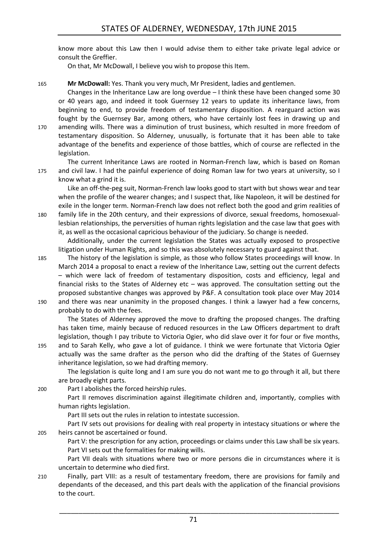know more about this Law then I would advise them to either take private legal advice or consult the Greffier.

On that, Mr McDowall, I believe you wish to propose this Item.

165 **Mr McDowall:** Yes. Thank you very much, Mr President, ladies and gentlemen.

Changes in the Inheritance Law are long overdue – I think these have been changed some 30 or 40 years ago, and indeed it took Guernsey 12 years to update its inheritance laws, from beginning to end, to provide freedom of testamentary disposition. A rearguard action was fought by the Guernsey Bar, among others, who have certainly lost fees in drawing up and 170 amending wills. There was a diminution of trust business, which resulted in more freedom of testamentary disposition. So Alderney, unusually, is fortunate that it has been able to take advantage of the benefits and experience of those battles, which of course are reflected in the legislation.

The current Inheritance Laws are rooted in Norman-French law, which is based on Roman 175 and civil law. I had the painful experience of doing Roman law for two years at university, so I know what a grind it is.

Like an off-the-peg suit, Norman-French law looks good to start with but shows wear and tear when the profile of the wearer changes; and I suspect that, like Napoleon, it will be destined for exile in the longer term. Norman-French law does not reflect both the good and grim realities of 180 family life in the 20th century, and their expressions of divorce, sexual freedoms, homosexuallesbian relationships, the perversities of human rights legislation and the case law that goes with

it, as well as the occasional capricious behaviour of the judiciary. So change is needed.

Additionally, under the current legislation the States was actually exposed to prospective litigation under Human Rights, and so this was absolutely necessary to guard against that.

185 The history of the legislation is simple, as those who follow States proceedings will know. In March 2014 a proposal to enact a review of the Inheritance Law, setting out the current defects – which were lack of freedom of testamentary disposition, costs and efficiency, legal and financial risks to the States of Alderney etc – was approved. The consultation setting out the proposed substantive changes was approved by P&F. A consultation took place over May 2014 190 and there was near unanimity in the proposed changes. I think a lawyer had a few concerns, probably to do with the fees.

The States of Alderney approved the move to drafting the proposed changes. The drafting has taken time, mainly because of reduced resources in the Law Officers department to draft legislation, though I pay tribute to Victoria Ogier, who did slave over it for four or five months, 195 and to Sarah Kelly, who gave a lot of guidance. I think we were fortunate that Victoria Ogier

actually was the same drafter as the person who did the drafting of the States of Guernsey inheritance legislation, so we had drafting memory.

The legislation is quite long and I am sure you do not want me to go through it all, but there are broadly eight parts.

200 Part I abolishes the forced heirship rules.

Part II removes discrimination against illegitimate children and, importantly, complies with human rights legislation.

Part III sets out the rules in relation to intestate succession.

Part IV sets out provisions for dealing with real property in intestacy situations or where the 205 heirs cannot be ascertained or found.

Part V: the prescription for any action, proceedings or claims under this Law shall be six years. Part VI sets out the formalities for making wills.

Part VII deals with situations where two or more persons die in circumstances where it is uncertain to determine who died first.

210 Finally, part VIII: as a result of testamentary freedom, there are provisions for family and dependants of the deceased, and this part deals with the application of the financial provisions to the court.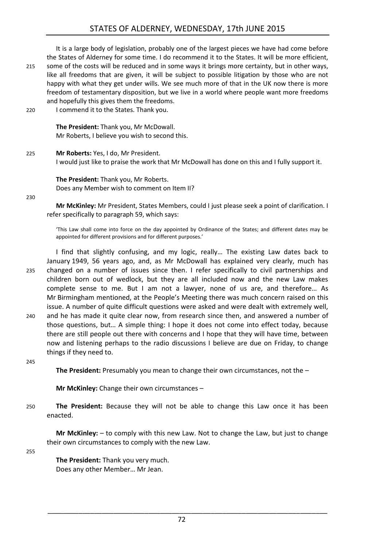## STATES OF ALDERNEY, WEDNESDAY, 17th JUNE 2015

It is a large body of legislation, probably one of the largest pieces we have had come before the States of Alderney for some time. I do recommend it to the States. It will be more efficient, 215 some of the costs will be reduced and in some ways it brings more certainty, but in other ways, like all freedoms that are given, it will be subject to possible litigation by those who are not happy with what they get under wills. We see much more of that in the UK now there is more freedom of testamentary disposition, but we live in a world where people want more freedoms and hopefully this gives them the freedoms.

220 I commend it to the States. Thank you.

**The President:** Thank you, Mr McDowall. Mr Roberts, I believe you wish to second this.

225 **Mr Roberts:** Yes, I do, Mr President. I would just like to praise the work that Mr McDowall has done on this and I fully support it.

**The President:** Thank you, Mr Roberts. Does any Member wish to comment on Item II?

230

**Mr McKinley:** Mr President, States Members, could I just please seek a point of clarification. I refer specifically to paragraph 59, which says:

'This Law shall come into force on the day appointed by Ordinance of the States; and different dates may be appointed for different provisions and for different purposes.'

I find that slightly confusing, and my logic, really… The existing Law dates back to January 1949, 56 years ago, and, as Mr McDowall has explained very clearly, much has 235 changed on a number of issues since then. I refer specifically to civil partnerships and children born out of wedlock, but they are all included now and the new Law makes complete sense to me. But I am not a lawyer, none of us are, and therefore… As Mr Birmingham mentioned, at the People's Meeting there was much concern raised on this issue. A number of quite difficult questions were asked and were dealt with extremely well, 240 and he has made it quite clear now, from research since then, and answered a number of

those questions, but… A simple thing: I hope it does not come into effect today, because there are still people out there with concerns and I hope that they will have time, between now and listening perhaps to the radio discussions I believe are due on Friday, to change things if they need to.

245

**The President:** Presumably you mean to change their own circumstances, not the –

**Mr McKinley:** Change their own circumstances –

250 **The President:** Because they will not be able to change this Law once it has been enacted.

**Mr McKinley:** – to comply with this new Law. Not to change the Law, but just to change their own circumstances to comply with the new Law.

255

**The President:** Thank you very much. Does any other Member… Mr Jean.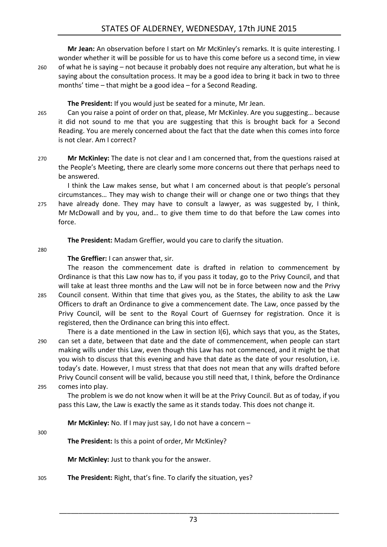### STATES OF ALDERNEY, WEDNESDAY, 17th JUNE 2015

**Mr Jean:** An observation before I start on Mr McKinley's remarks. It is quite interesting. I wonder whether it will be possible for us to have this come before us a second time, in view 260 of what he is saying – not because it probably does not require any alteration, but what he is saying about the consultation process. It may be a good idea to bring it back in two to three months' time – that might be a good idea – for a Second Reading.

**The President:** If you would just be seated for a minute, Mr Jean.

- 265 Can you raise a point of order on that, please, Mr McKinley. Are you suggesting… because it did not sound to me that you are suggesting that this is brought back for a Second Reading. You are merely concerned about the fact that the date when this comes into force is not clear. Am I correct?
- 270 **Mr McKinley:** The date is not clear and I am concerned that, from the questions raised at the People's Meeting, there are clearly some more concerns out there that perhaps need to be answered.

I think the Law makes sense, but what I am concerned about is that people's personal circumstances… They may wish to change their will or change one or two things that they 275 have already done. They may have to consult a lawyer, as was suggested by, I think, Mr McDowall and by you, and… to give them time to do that before the Law comes into force.

**The President:** Madam Greffier, would you care to clarify the situation.

280

#### **The Greffier:** I can answer that, sir.

The reason the commencement date is drafted in relation to commencement by Ordinance is that this Law now has to, if you pass it today, go to the Privy Council, and that will take at least three months and the Law will not be in force between now and the Privy 285 Council consent. Within that time that gives you, as the States, the ability to ask the Law Officers to draft an Ordinance to give a commencement date. The Law, once passed by the Privy Council, will be sent to the Royal Court of Guernsey for registration. Once it is registered, then the Ordinance can bring this into effect.

There is a date mentioned in the Law in section I(6), which says that you, as the States, 290 can set a date, between that date and the date of commencement, when people can start making wills under this Law, even though this Law has not commenced, and it might be that you wish to discuss that this evening and have that date as the date of your resolution, i.e. today's date. However, I must stress that that does not mean that any wills drafted before Privy Council consent will be valid, because you still need that, I think, before the Ordinance 295 comes into play.

The problem is we do not know when it will be at the Privy Council. But as of today, if you pass this Law, the Law is exactly the same as it stands today. This does not change it.

**Mr McKinley:** No. If I may just say, I do not have a concern –

300

**The President:** Is this a point of order, Mr McKinley?

**Mr McKinley:** Just to thank you for the answer.

305 **The President:** Right, that's fine. To clarify the situation, yes?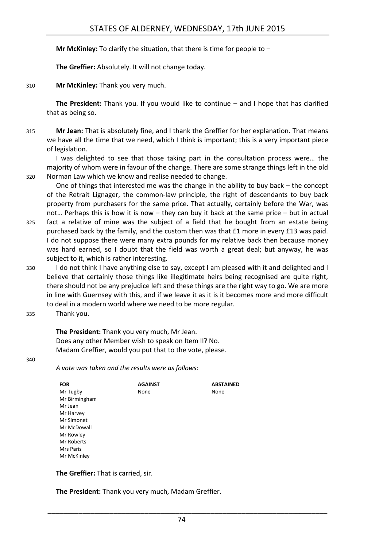**Mr McKinley:** To clarify the situation, that there is time for people to –

**The Greffier:** Absolutely. It will not change today.

310 **Mr McKinley:** Thank you very much.

**The President:** Thank you. If you would like to continue – and I hope that has clarified that as being so.

315 **Mr Jean:** That is absolutely fine, and I thank the Greffier for her explanation. That means we have all the time that we need, which I think is important; this is a very important piece of legislation.

I was delighted to see that those taking part in the consultation process were… the majority of whom were in favour of the change. There are some strange things left in the old 320 Norman Law which we know and realise needed to change.

One of things that interested me was the change in the ability to buy back – the concept of the Retrait Lignager, the common-law principle, the right of descendants to buy back property from purchasers for the same price. That actually, certainly before the War, was not… Perhaps this is how it is now – they can buy it back at the same price – but in actual

- 325 fact a relative of mine was the subject of a field that he bought from an estate being purchased back by the family, and the custom then was that £1 more in every £13 was paid. I do not suppose there were many extra pounds for my relative back then because money was hard earned, so I doubt that the field was worth a great deal; but anyway, he was subject to it, which is rather interesting.
- 330 I do not think I have anything else to say, except I am pleased with it and delighted and I believe that certainly those things like illegitimate heirs being recognised are quite right, there should not be any prejudice left and these things are the right way to go. We are more in line with Guernsey with this, and if we leave it as it is it becomes more and more difficult to deal in a modern world where we need to be more regular.

335 Thank you.

**The President:** Thank you very much, Mr Jean. Does any other Member wish to speak on Item II? No. Madam Greffier, would you put that to the vote, please.

340

*A vote was taken and the results were as follows:*

| <b>FOR</b>    | <b>AGAINST</b> | <b>ABSTAINED</b> |
|---------------|----------------|------------------|
| Mr Tugby      | None           | None             |
| Mr Birmingham |                |                  |
| Mr Jean       |                |                  |
| Mr Harvey     |                |                  |
| Mr Simonet    |                |                  |
| Mr McDowall   |                |                  |
| Mr Rowley     |                |                  |
| Mr Roberts    |                |                  |
| Mrs Paris     |                |                  |
| Mr McKinley   |                |                  |

**The Greffier:** That is carried, sir.

**The President:** Thank you very much, Madam Greffier.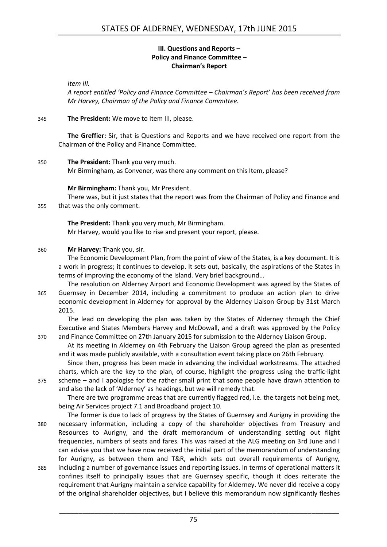#### **III. Questions and Reports – Policy and Finance Committee – Chairman's Report**

<span id="page-10-0"></span>*Item III.*

*A report entitled 'Policy and Finance Committee – Chairman's Report' has been received from Mr Harvey, Chairman of the Policy and Finance Committee.*

#### 345 **The President:** We move to Item III, please.

**The Greffier:** Sir, that is Questions and Reports and we have received one report from the Chairman of the Policy and Finance Committee.

#### 350 **The President:** Thank you very much.

Mr Birmingham, as Convener, was there any comment on this Item, please?

#### **Mr Birmingham:** Thank you, Mr President.

There was, but it just states that the report was from the Chairman of Policy and Finance and 355 that was the only comment.

**The President:** Thank you very much, Mr Birmingham. Mr Harvey, would you like to rise and present your report, please.

#### 360 **Mr Harvey:** Thank you, sir.

The Economic Development Plan, from the point of view of the States, is a key document. It is a work in progress; it continues to develop. It sets out, basically, the aspirations of the States in terms of improving the economy of the Island. Very brief background…

The resolution on Alderney Airport and Economic Development was agreed by the States of 365 Guernsey in December 2014, including a commitment to produce an action plan to drive economic development in Alderney for approval by the Alderney Liaison Group by 31st March 2015.

The lead on developing the plan was taken by the States of Alderney through the Chief Executive and States Members Harvey and McDowall, and a draft was approved by the Policy 370 and Finance Committee on 27th January 2015 for submission to the Alderney Liaison Group.

At its meeting in Alderney on 4th February the Liaison Group agreed the plan as presented and it was made publicly available, with a consultation event taking place on 26th February.

Since then, progress has been made in advancing the individual workstreams. The attached charts, which are the key to the plan, of course, highlight the progress using the traffic-light 375 scheme – and I apologise for the rather small print that some people have drawn attention to and also the lack of 'Alderney' as headings, but we will remedy that.

There are two programme areas that are currently flagged red, i.e. the targets not being met, being Air Services project 7.1 and Broadband project 10.

The former is due to lack of progress by the States of Guernsey and Aurigny in providing the 380 necessary information, including a copy of the shareholder objectives from Treasury and Resources to Aurigny, and the draft memorandum of understanding setting out flight frequencies, numbers of seats and fares. This was raised at the ALG meeting on 3rd June and I can advise you that we have now received the initial part of the memorandum of understanding for Aurigny, as between them and T&R, which sets out overall requirements of Aurigny, 385 including a number of governance issues and reporting issues. In terms of operational matters it confines itself to principally issues that are Guernsey specific, though it does reiterate the requirement that Aurigny maintain a service capability for Alderney. We never did receive a copy of the original shareholder objectives, but I believe this memorandum now significantly fleshes